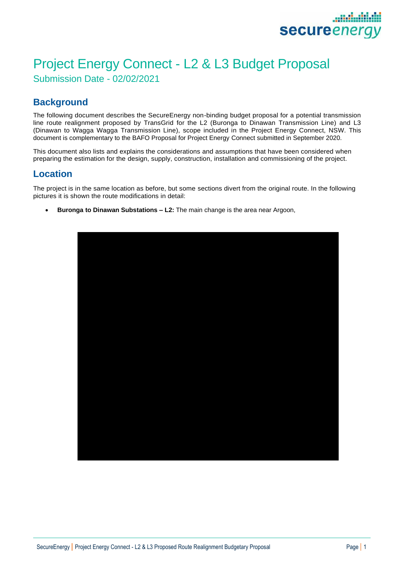

## Project Energy Connect - L2 & L3 Budget Proposal Submission Date - 02/02/2021

### **Background**

The following document describes the SecureEnergy non-binding budget proposal for a potential transmission line route realignment proposed by TransGrid for the L2 (Buronga to Dinawan Transmission Line) and L3 (Dinawan to Wagga Wagga Transmission Line), scope included in the Project Energy Connect, NSW. This document is complementary to the BAFO Proposal for Project Energy Connect submitted in September 2020.

This document also lists and explains the considerations and assumptions that have been considered when preparing the estimation for the design, supply, construction, installation and commissioning of the project.

#### **Location**

The project is in the same location as before, but some sections divert from the original route. In the following pictures it is shown the route modifications in detail:

• **Buronga to Dinawan Substations – L2:** The main change is the area near Argoon,

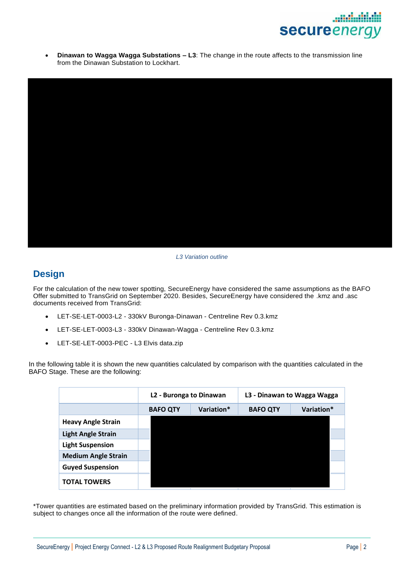

• **Dinawan to Wagga Wagga Substations – L3**: The change in the route affects to the transmission line from the Dinawan Substation to Lockhart.



#### *L3 Variation outline*

#### **Design**

For the calculation of the new tower spotting, SecureEnergy have considered the same assumptions as the BAFO Offer submitted to TransGrid on September 2020. Besides, SecureEnergy have considered the .kmz and .asc documents received from TransGrid:

- LET-SE-LET-0003-L2 330kV Buronga-Dinawan Centreline Rev 0.3.kmz
- LET-SE-LET-0003-L3 330kV Dinawan-Wagga Centreline Rev 0.3.kmz
- LET-SE-LET-0003-PEC L3 Elvis data.zip

In the following table it is shown the new quantities calculated by comparison with the quantities calculated in the BAFO Stage. These are the following:

|                            | L2 - Buronga to Dinawan |            | L3 - Dinawan to Wagga Wagga |            |
|----------------------------|-------------------------|------------|-----------------------------|------------|
|                            | <b>BAFO QTY</b>         | Variation* | <b>BAFO QTY</b>             | Variation* |
| <b>Heavy Angle Strain</b>  |                         |            |                             |            |
| <b>Light Angle Strain</b>  |                         |            |                             |            |
| <b>Light Suspension</b>    |                         |            |                             |            |
| <b>Medium Angle Strain</b> |                         |            |                             |            |
| <b>Guyed Suspension</b>    |                         |            |                             |            |
| <b>TOTAL TOWERS</b>        |                         |            |                             |            |

\*Tower quantities are estimated based on the preliminary information provided by TransGrid. This estimation is subject to changes once all the information of the route were defined.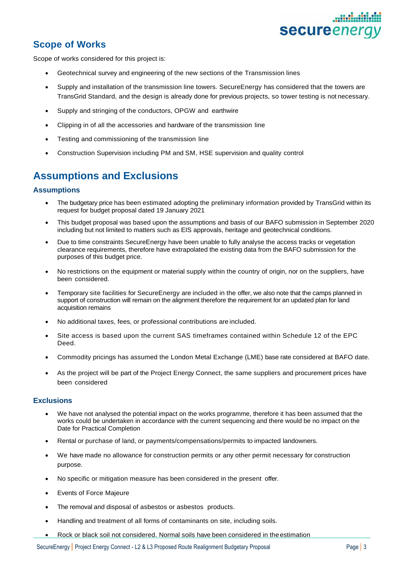# secureener

## **Scope of Works**

Scope of works considered for this project is:

- Geotechnical survey and engineering of the new sections of the Transmission lines
- Supply and installation of the transmission line towers. SecureEnergy has considered that the towers are TransGrid Standard, and the design is already done for previous projects, so tower testing is not necessary.
- Supply and stringing of the conductors, OPGW and earthwire
- Clipping in of all the accessories and hardware of the transmission line
- Testing and commissioning of the transmission line
- Construction Supervision including PM and SM, HSE supervision and quality control

## **Assumptions and Exclusions**

#### **Assumptions**

- The budgetary price has been estimated adopting the preliminary information provided by TransGrid within its request for budget proposal dated 19 January 2021
- This budget proposal was based upon the assumptions and basis of our BAFO submission in September 2020 including but not limited to matters such as EIS approvals, heritage and geotechnical conditions.
- Due to time constraints SecureEnergy have been unable to fully analyse the access tracks or vegetation clearance requirements, therefore have extrapolated the existing data from the BAFO submission for the purposes of this budget price.
- No restrictions on the equipment or material supply within the country of origin, nor on the suppliers, have been considered.
- Temporary site facilities for SecureEnergy are included in the offer, we also note that the camps planned in support of construction will remain on the alignment therefore the requirement for an updated plan for land acquisition remains
- No additional taxes, fees, or professional contributions are included.
- Site access is based upon the current SAS timeframes contained within Schedule 12 of the EPC Deed.
- Commodity pricings has assumed the London Metal Exchange (LME) base rate considered at BAFO date.
- As the project will be part of the Project Energy Connect, the same suppliers and procurement prices have been considered

#### **Exclusions**

- We have not analysed the potential impact on the works programme, therefore it has been assumed that the works could be undertaken in accordance with the current sequencing and there would be no impact on the Date for Practical Completion
- Rental or purchase of land, or payments/compensations/permits to impacted landowners.
- We have made no allowance for construction permits or any other permit necessary for construction purpose.
- No specific or mitigation measure has been considered in the present offer.
- Events of Force Majeure
- The removal and disposal of asbestos or asbestos products.
- Handling and treatment of all forms of contaminants on site, including soils.
- Rock or black soil not considered. Normal soils have been considered in the estimation